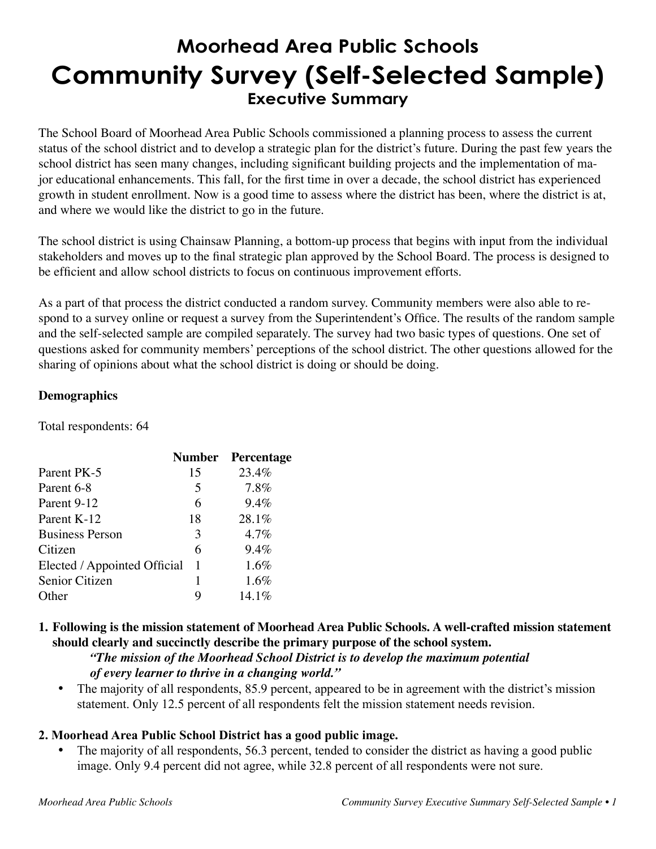# **Moorhead Area Public Schools Community Survey (Self-Selected Sample) Executive Summary**

The School Board of Moorhead Area Public Schools commissioned a planning process to assess the current status of the school district and to develop a strategic plan for the district's future. During the past few years the school district has seen many changes, including significant building projects and the implementation of major educational enhancements. This fall, for the first time in over a decade, the school district has experienced growth in student enrollment. Now is a good time to assess where the district has been, where the district is at, and where we would like the district to go in the future.

The school district is using Chainsaw Planning, a bottom-up process that begins with input from the individual stakeholders and moves up to the final strategic plan approved by the School Board. The process is designed to be efficient and allow school districts to focus on continuous improvement efforts.

As a part of that process the district conducted a random survey. Community members were also able to respond to a survey online or request a survey from the Superintendent's Office. The results of the random sample and the self-selected sample are compiled separately. The survey had two basic types of questions. One set of questions asked for community members' perceptions of the school district. The other questions allowed for the sharing of opinions about what the school district is doing or should be doing.

## **Demographics**

Total respondents: 64

|                              |    | <b>Number</b> Percentage |
|------------------------------|----|--------------------------|
| Parent PK-5                  | 15 | 23.4%                    |
| Parent 6-8                   | 5  | 7.8%                     |
| Parent 9-12                  | 6  | $9.4\%$                  |
| Parent K-12                  | 18 | 28.1%                    |
| <b>Business Person</b>       | 3  | $4.7\%$                  |
| Citizen                      | 6  | $9.4\%$                  |
| Elected / Appointed Official | 1  | $1.6\%$                  |
| Senior Citizen               |    | 1.6%                     |
| Other                        |    | 14.1%                    |
|                              |    |                          |

# **1. Following is the mission statement of Moorhead Area Public Schools. A well-crafted mission statement should clearly and succinctly describe the primary purpose of the school system.**

*"The mission of the Moorhead School District is to develop the maximum potential* 

#### *of every learner to thrive in a changing world."*

• The majority of all respondents, 85.9 percent, appeared to be in agreement with the district's mission statement. Only 12.5 percent of all respondents felt the mission statement needs revision.

# **2. Moorhead Area Public School District has a good public image.**

The majority of all respondents, 56.3 percent, tended to consider the district as having a good public image. Only 9.4 percent did not agree, while 32.8 percent of all respondents were not sure.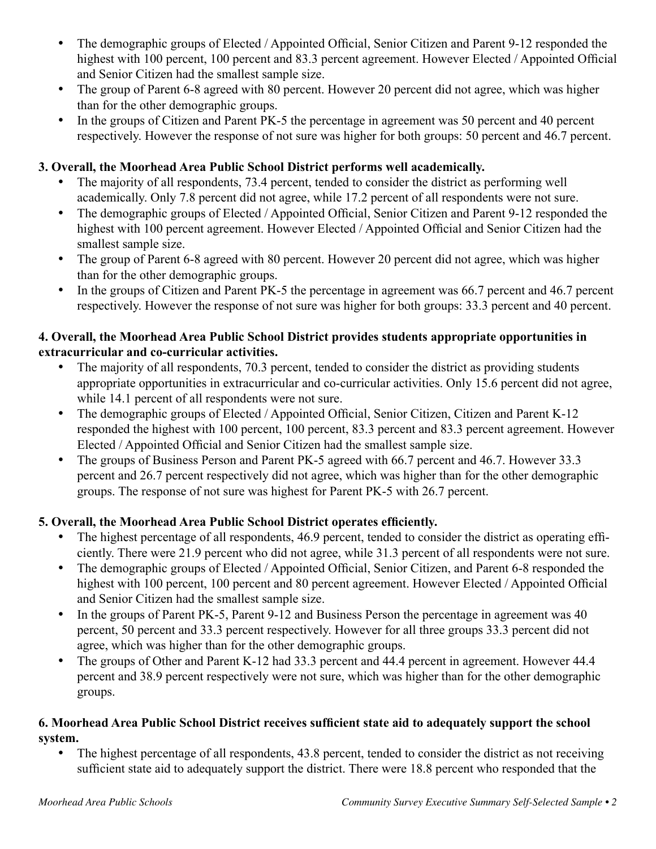- The demographic groups of Elected / Appointed Official, Senior Citizen and Parent 9-12 responded the highest with 100 percent, 100 percent and 83.3 percent agreement. However Elected / Appointed Official and Senior Citizen had the smallest sample size.
- The group of Parent 6-8 agreed with 80 percent. However 20 percent did not agree, which was higher than for the other demographic groups.
- In the groups of Citizen and Parent PK-5 the percentage in agreement was 50 percent and 40 percent respectively. However the response of not sure was higher for both groups: 50 percent and 46.7 percent.

# **3. Overall, the Moorhead Area Public School District performs well academically.**

- The majority of all respondents, 73.4 percent, tended to consider the district as performing well academically. Only 7.8 percent did not agree, while 17.2 percent of all respondents were not sure.
- The demographic groups of Elected / Appointed Official, Senior Citizen and Parent 9-12 responded the highest with 100 percent agreement. However Elected / Appointed Official and Senior Citizen had the smallest sample size.
- The group of Parent 6-8 agreed with 80 percent. However 20 percent did not agree, which was higher than for the other demographic groups.
- In the groups of Citizen and Parent PK-5 the percentage in agreement was 66.7 percent and 46.7 percent respectively. However the response of not sure was higher for both groups: 33.3 percent and 40 percent.

## **4. Overall, the Moorhead Area Public School District provides students appropriate opportunities in extracurricular and co-curricular activities.**

- The majority of all respondents, 70.3 percent, tended to consider the district as providing students appropriate opportunities in extracurricular and co-curricular activities. Only 15.6 percent did not agree, while 14.1 percent of all respondents were not sure.
- The demographic groups of Elected / Appointed Official, Senior Citizen, Citizen and Parent K-12 responded the highest with 100 percent, 100 percent, 83.3 percent and 83.3 percent agreement. However Elected / Appointed Official and Senior Citizen had the smallest sample size.
- The groups of Business Person and Parent PK-5 agreed with 66.7 percent and 46.7. However 33.3 percent and 26.7 percent respectively did not agree, which was higher than for the other demographic groups. The response of not sure was highest for Parent PK-5 with 26.7 percent.

# **5. Overall, the Moorhead Area Public School District operates efficiently.**

- The highest percentage of all respondents, 46.9 percent, tended to consider the district as operating efficiently. There were 21.9 percent who did not agree, while 31.3 percent of all respondents were not sure.
- The demographic groups of Elected / Appointed Official, Senior Citizen, and Parent 6-8 responded the highest with 100 percent, 100 percent and 80 percent agreement. However Elected / Appointed Official and Senior Citizen had the smallest sample size.
- In the groups of Parent PK-5, Parent 9-12 and Business Person the percentage in agreement was 40 percent, 50 percent and 33.3 percent respectively. However for all three groups 33.3 percent did not agree, which was higher than for the other demographic groups.
- The groups of Other and Parent K-12 had 33.3 percent and 44.4 percent in agreement. However 44.4 percent and 38.9 percent respectively were not sure, which was higher than for the other demographic groups.

#### **6. Moorhead Area Public School District receives sufficient state aid to adequately support the school system.**

The highest percentage of all respondents, 43.8 percent, tended to consider the district as not receiving sufficient state aid to adequately support the district. There were 18.8 percent who responded that the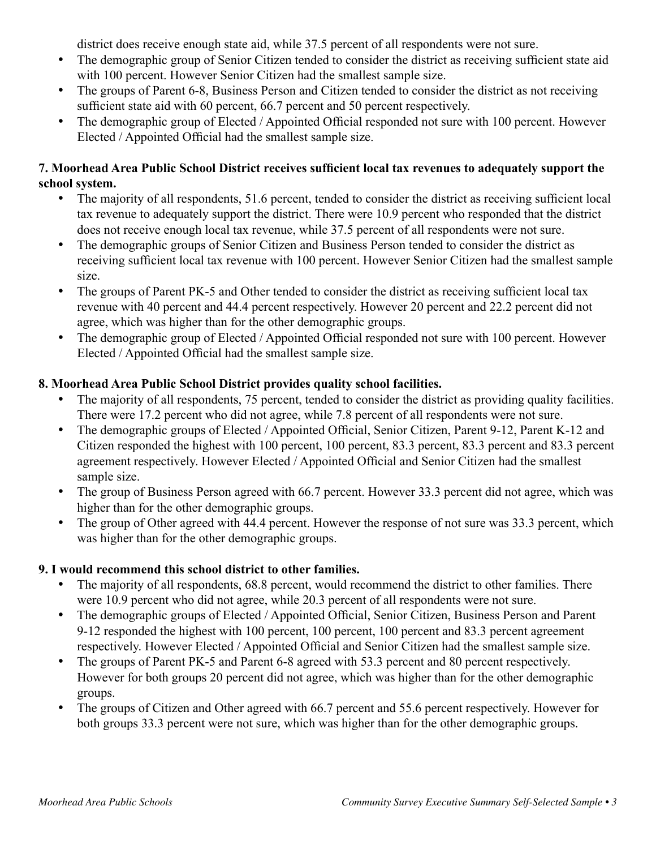district does receive enough state aid, while 37.5 percent of all respondents were not sure.

- The demographic group of Senior Citizen tended to consider the district as receiving sufficient state aid with 100 percent. However Senior Citizen had the smallest sample size.
- The groups of Parent 6-8, Business Person and Citizen tended to consider the district as not receiving sufficient state aid with 60 percent, 66.7 percent and 50 percent respectively.
- The demographic group of Elected / Appointed Official responded not sure with 100 percent. However Elected / Appointed Official had the smallest sample size.

## **7. Moorhead Area Public School District receives sufficient local tax revenues to adequately support the school system.**

- The majority of all respondents, 51.6 percent, tended to consider the district as receiving sufficient local tax revenue to adequately support the district. There were 10.9 percent who responded that the district does not receive enough local tax revenue, while 37.5 percent of all respondents were not sure.
- The demographic groups of Senior Citizen and Business Person tended to consider the district as receiving sufficient local tax revenue with 100 percent. However Senior Citizen had the smallest sample size.
- The groups of Parent PK-5 and Other tended to consider the district as receiving sufficient local tax revenue with 40 percent and 44.4 percent respectively. However 20 percent and 22.2 percent did not agree, which was higher than for the other demographic groups.
- The demographic group of Elected / Appointed Official responded not sure with 100 percent. However Elected / Appointed Official had the smallest sample size.

# **8. Moorhead Area Public School District provides quality school facilities.**

- The majority of all respondents, 75 percent, tended to consider the district as providing quality facilities. There were 17.2 percent who did not agree, while 7.8 percent of all respondents were not sure.
- The demographic groups of Elected / Appointed Official, Senior Citizen, Parent 9-12, Parent K-12 and Citizen responded the highest with 100 percent, 100 percent, 83.3 percent, 83.3 percent and 83.3 percent agreement respectively. However Elected / Appointed Official and Senior Citizen had the smallest sample size.
- The group of Business Person agreed with 66.7 percent. However 33.3 percent did not agree, which was higher than for the other demographic groups.
- The group of Other agreed with 44.4 percent. However the response of not sure was 33.3 percent, which was higher than for the other demographic groups.

# **9. I would recommend this school district to other families.**

- The majority of all respondents, 68.8 percent, would recommend the district to other families. There were 10.9 percent who did not agree, while 20.3 percent of all respondents were not sure.
- The demographic groups of Elected / Appointed Official, Senior Citizen, Business Person and Parent 9-12 responded the highest with 100 percent, 100 percent, 100 percent and 83.3 percent agreement respectively. However Elected / Appointed Official and Senior Citizen had the smallest sample size.
- The groups of Parent PK-5 and Parent 6-8 agreed with 53.3 percent and 80 percent respectively. However for both groups 20 percent did not agree, which was higher than for the other demographic groups.
- The groups of Citizen and Other agreed with 66.7 percent and 55.6 percent respectively. However for both groups 33.3 percent were not sure, which was higher than for the other demographic groups.